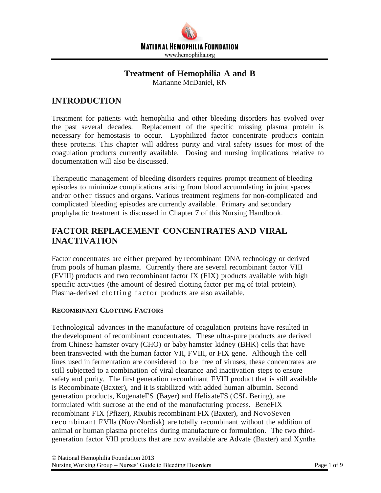

# **Treatment of Hemophilia A and B**

Marianne McDaniel, RN

# **INTRODUCTION**

Treatment for patients with hemophilia and other bleeding disorders has evolved over the past several decades. Replacement of the specific missing plasma protein is necessary for hemostasis to occur. Lyophilized factor concentrate products contain these proteins. This chapter will address purity and viral safety issues for most of the coagulation products currently available. Dosing and nursing implications relative to documentation will also be discussed.

Therapeutic management of bleeding disorders requires prompt treatment of bleeding episodes to minimize complications arising from blood accumulating in joint spaces and/or other tissues and organs. Various treatment regimens for non-complicated and complicated bleeding episodes are currently available. Primary and secondary prophylactic treatment is discussed in Chapter 7 of this Nursing Handbook.

# **FACTOR REPLACEMENT CONCENTRATES AND VIRAL INACTIVATION**

Factor concentrates are either prepared by recombinant DNA technology or derived from pools of human plasma. Currently there are several recombinant factor VIII (FVIII) products and two recombinant factor IX (FIX) products available with high specific activities (the amount of desired clotting factor per mg of total protein). Plasma-derived clotting factor products are also available.

## **RECOMBINANT CLOTTING FACTORS**

Technological advances in the manufacture of coagulation proteins have resulted in the development of recombinant concentrates. These ultra-pure products are derived from Chinese hamster ovary (CHO) or baby hamster kidney (BHK) cells that have been transvected with the human factor VII, FVIII, or FIX gene. Although the cell lines used in fermentation are considered to be free of viruses, these concentrates are still subjected to a combination of viral clearance and inactivation steps to ensure safety and purity. The first generation recombinant FVIII product that is still available is Recombinate (Baxter), and it is stabilized with added human albumin. Second generation products, KogenateFS (Bayer) and HelixateFS (CSL Bering), are formulated with sucrose at the end of the manufacturing process. BeneFIX recombinant FIX (Pfizer), Rixubis recombinant FIX (Baxter), and NovoSeven recombinant FVIla (NovoNordisk) are totally recombinant without the addition of animal or human plasma proteins during manufacture or formulation. The two thirdgeneration factor VIII products that are now available are Advate (Baxter) and Xyntha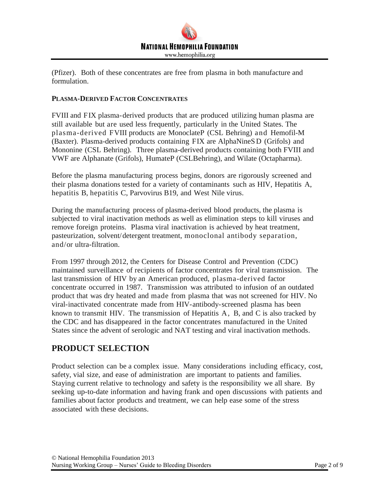

(Pfizer). Both of these concentrates are free from plasma in both manufacture and formulation.

### **PLASMA-DERIVED FACTOR CONCENTRATES**

FVIII and FIX plasma-derived products that are produced utilizing human plasma are still available but are used less frequently, particularly in the United States. The plasma-derived FVIII products are MonoclateP (CSL Behring) and Hemofil-M (Baxter). Plasma-derived products containing FIX are AlphaNineS D (Grifols) and Mononine (CSL Behring). Three plasma-derived products containing both FVIII and VWF are Alphanate (Grifols), HumateP (CSLBehring), and Wilate (Octapharma).

Before the plasma manufacturing process begins, donors are rigorously screened and their plasma donations tested for a variety of contaminants such as HIV, Hepatitis A, hepatitis B, hepatitis C, Parvovirus B19, and West Nile virus.

During the manufacturing process of plasma-derived blood products, the plasma is subjected to viral inactivation methods as well as elimination steps to kill viruses and remove foreign proteins. Plasma viral inactivation is achieved by heat treatment, pasteurization, solvent/detergent treatment, monoclonal antibody separation, and/or ultra-filtration.

From 1997 through 2012, the Centers for Disease Control and Prevention (CDC) maintained surveillance of recipients of factor concentrates for viral transmission. The last transmission of HIV by an American produced, plasma-derived factor concentrate occurred in 1987. Transmission was attributed to infusion of an outdated product that was dry heated and made from plasma that was not screened for HIV. No viral-inactivated concentrate made from HIV-antibody-screened plasma has been known to transmit HIV. The transmission of Hepatitis A, B, and C is also tracked by the CDC and has disappeared in the factor concentrates manufactured in the United States since the advent of serologic and NAT testing and viral inactivation methods.

# **PRODUCT SELECTION**

Product selection can be a complex issue. Many considerations including efficacy, cost, safety, vial size, and ease of administration are important to patients and families. Staying current relative to technology and safety is the responsibility we all share. By seeking up-to-date information and having frank and open discussions with patients and families about factor products and treatment, we can help ease some of the stress associated with these decisions.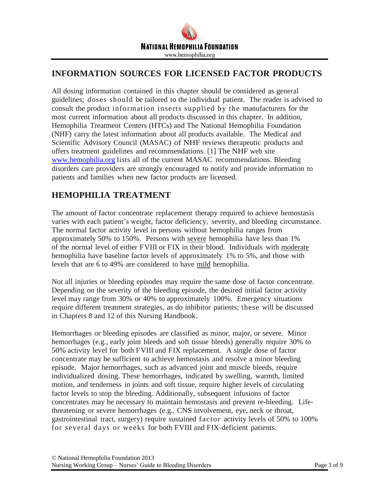

# **INFORMATION SOURCES FOR LICENSED FACTOR PRODUCTS**

All dosing information contained in this chapter should be considered as general guidelines; doses should be tailored to the individual patient. The reader is advised to consult the product information inserts supplied by the manufacturers for the most current information about all products discussed in this chapter. In addition, Hemophilia Treatment Centers (HTCs) and The National Hemophilia Foundation (NHF) carry the latest information about all products available. The Medical and Scientific Advisory Council (MASAC) of NHF reviews therapeutic products and offers treatment guidelines and recommendations. [1] The NHF web site [www.hemophilia.org](http://www.hemophilia.org/) lists all of the current MASAC recommendations. Bleeding disorders care providers are strongly encouraged to notify and provide information to patients and families when new factor products are licensed.

# **HEMOPHILIA TREATMENT**

The amount of factor concentrate replacement therapy required to achieve hemostasis varies with each patient's weight, factor deficiency, severity, and bleeding circumstance. The normal factor activity level in persons without hemophilia ranges from approximately 50% to 150%. Persons with severe hemophilia have less than 1% of the normal level of either FVIII or FIX in their blood. Individuals with moderate hemophilia have baseline factor levels of approximately 1% to 5%, and those with levels that are 6 to 49% are considered to have mild hemophilia.

Not all injuries or bleeding episodes may require the same dose of factor concentrate. Depending on the severity of the bleeding episode, the desired initial factor activity level may range from 30% or 40% to approximately 100%. Emergency situations require different treatment strategies, as do inhibitor patients; these will be discussed in Chapters 8 and 12 of this Nursing Handbook.

Hemorrhages or bleeding episodes are classified as minor, major, or severe. Minor hemorrhages (e.g., early joint bleeds and soft tissue bleeds) generally require 30% to 50% activity level for both FVIII and FIX replacement. A single dose of factor concentrate may be sufficient to achieve hemostasis and resolve a minor bleeding episode. Major hemorrhages, such as advanced joint and muscle bleeds, require individualized dosing. These hemorrhages, indicated by swelling, warmth, limited motion, and tenderness in joints and soft tissue, require higher levels of circulating factor levels to stop the bleeding. Additionally, subsequent infusions of factor concentrates may be necessary to maintain hemostasis and prevent re-bleeding. Lifethreatening or severe hemorrhages (e.g., CNS involvement, eye, neck or throat, gastrointestinal tract, surgery) require sustained factor activity levels of 50% to 100% for several days or weeks for both FVIII and FIX-deficient patients.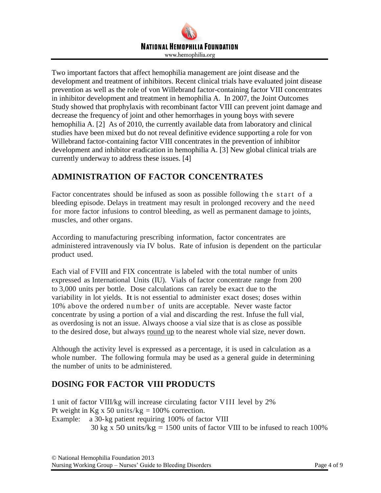

Two important factors that affect hemophilia management are joint disease and the development and treatment of inhibitors. Recent clinical trials have evaluated joint disease prevention as well as the role of von Willebrand factor-containing factor VIII concentrates in inhibitor development and treatment in hemophilia A. In 2007, the Joint Outcomes Study showed that prophylaxis with recombinant factor VIII can prevent joint damage and decrease the frequency of joint and other hemorrhages in young boys with severe hemophilia A. [2] As of 2010, the currently available data from laboratory and clinical studies have been mixed but do not reveal definitive evidence supporting a role for von Willebrand factor-containing factor VIII concentrates in the prevention of inhibitor development and inhibitor eradication in hemophilia A. [3] New global clinical trials are currently underway to address these issues. [4]

# **ADMINISTRATION OF FACTOR CONCENTRATES**

Factor concentrates should be infused as soon as possible following the start of a bleeding episode. Delays in treatment may result in prolonged recovery and the need for more factor infusions to control bleeding, as well as permanent damage to joints, muscles, and other organs.

According to manufacturing prescribing information, factor concentrates are administered intravenously via IV bolus. Rate of infusion is dependent on the particular product used.

Each vial of FVIII and FIX concentrate is labeled with the total number of units expressed as International Units (IU). Vials of factor concentrate range from 200 to 3,000 units per bottle. Dose calculations can rarely be exact due to the variability in lot yields. It is not essential to administer exact doses; doses within 10% above the ordered number of units are acceptable. Never waste factor concentrate by using a portion of a vial and discarding the rest. Infuse the full vial, as overdosing is not an issue. Always choose a vial size that is as close as possible to the desired dose, but always round up to the nearest whole vial size, never down.

Although the activity level is expressed as a percentage, it is used in calculation as a whole number. The following formula may be used as a general guide in determining the number of units to be administered.

# **DOSING FOR FACTOR VIII PRODUCTS**

1 unit of factor VIII/kg will increase circulating factor VIII level by 2% Pt weight in Kg x 50 units/kg =  $100\%$  correction. Example: a 30-kg patient requiring 100% of factor VIII 30 kg x 50 units/kg = 1500 units of factor VIII to be infused to reach 100%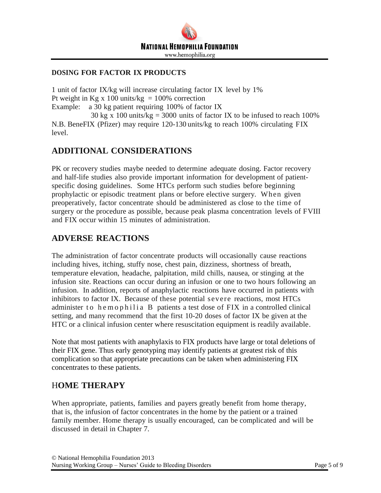

### **DOSING FOR FACTOR IX PRODUCTS**

1 unit of factor IX/kg will increase circulating factor IX level by 1% Pt weight in Kg x 100 units/kg =  $100\%$  correction Example: a 30 kg patient requiring 100% of factor IX 30 kg x 100 units/kg = 3000 units of factor IX to be infused to reach 100%

N.B. BeneFIX (Pfizer) may require 120-130 units/kg to reach 100% circulating FIX level.

# **ADDITIONAL CONSIDERATIONS**

PK or recovery studies maybe needed to determine adequate dosing. Factor recovery and half-life studies also provide important information for development of patientspecific dosing guidelines. Some HTCs perform such studies before beginning prophylactic or episodic treatment plans or before elective surgery. When given preoperatively, factor concentrate should be administered as close to the time of surgery or the procedure as possible, because peak plasma concentration levels of FVIII and FIX occur within 15 minutes of administration.

## **ADVERSE REACTIONS**

The administration of factor concentrate products will occasionally cause reactions including hives, itching, stuffy nose, chest pain, dizziness, shortness of breath, temperature elevation, headache, palpitation, mild chills, nausea, or stinging at the infusion site. Reactions can occur during an infusion or one to two hours following an infusion. In addition, reports of anaphylactic reactions have occurred in patients with inhibitors to factor IX. Because of these potential severe reactions, most HTCs administer to hemophilia B patients a test dose of FIX in a controlled clinical setting, and many recommend that the first 10-20 doses of factor IX be given at the HTC or a clinical infusion center where resuscitation equipment is readily available.

Note that most patients with anaphylaxis to FIX products have large or total deletions of their FIX gene. Thus early genotyping may identify patients at greatest risk of this complication so that appropriate precautions can be taken when administering FIX concentrates to these patients.

## H**OME THERAPY**

When appropriate, patients, families and payers greatly benefit from home therapy, that is, the infusion of factor concentrates in the home by the patient or a trained family member. Home therapy is usually encouraged, can be complicated and will be discussed in detail in Chapter 7.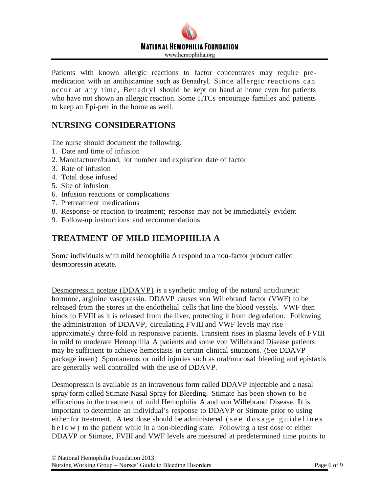# **NATIONAL HEMOPHILIA FOUNDATION** www.hemophilia.org

Patients with known allergic reactions to factor concentrates may require premedication with an antihistamine such as Benadryl. Since allergic reactions can occur at any time, Benadryl should be kept on hand at home even for patients who have not shown an allergic reaction. Some HTCs encourage families and patients to keep an Epi-pen in the home as well.

# **NURSING CONSIDERATIONS**

The nurse should document the following:

- 1. Date and time of infusion
- 2. Manufacturer/brand, lot number and expiration date of factor
- 3. Rate of infusion
- 4. Total dose infused
- 5. Site of infusion
- 6. Infusion reactions or complications
- 7. Pretreatment medications
- 8. Response or reaction to treatment; response may not be immediately evident
- 9. Follow-up instructions and recommendations

# **TREATMENT OF MILD HEMOPHILIA A**

Some individuals with mild hemophilia A respond to a non-factor product called desmopressin acetate.

Desmopressin acetate (DDAVP) is a synthetic analog of the natural antidiuretic hormone, arginine vasopressin. DDAVP causes von Willebrand factor (VWF) to be released from the stores in the endothelial cells that line the blood vessels. VWF then binds to FVIII as it is released from the liver, protecting it from degradation. Following the administration of DDAVP, circulating FVIII and VWF levels may rise approximately three-fold in responsive patients. Transient rises in plasma levels of FVIII in mild to moderate Hemophilia A patients and some von Willebrand Disease patients may be sufficient to achieve hemostasis in certain clinical situations. (See DDAVP package insert) Spontaneous or mild injuries such as oral/mucosal bleeding and epistaxis are generally well controlled with the use of DDAVP.

Desmopressin is available as an intravenous form called DDAVP Injectable and a nasal spray form called Stimate Nasal Spray for Bleeding. Stimate has been shown to be efficacious in the treatment of mild Hemophilia A and von Willebrand Disease. It is important to determine an individual's response to DDAVP or Stimate prior to using either for treatment. A test dose should be administered (see dosage guidelines b e l o w ) to the patient while in a non-bleeding state. Following a test dose of either DDAVP or Stimate, FVIII and VWF levels are measured at predetermined time points to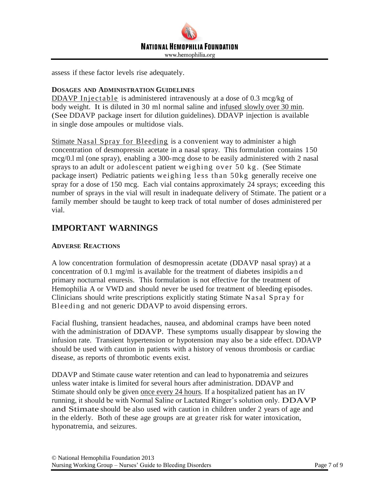

assess if these factor levels rise adequately.

#### **DOSAGES AND ADMINISTRATION GUIDELINES**

DDAVP Injectable is administered intravenously at a dose of 0.3 mcg/kg of body weight. It is diluted in 30 ml normal saline and infused slowly over 30 min. (See DDAVP package insert for dilution guidelines). DDAVP injection is available in single dose ampoules or multidose vials.

Stimate Nasal Spray for Bleeding is a convenient way to administer a high concentration of desmopressin acetate in a nasal spray. This formulation contains 150 mcg/0.l ml (one spray), enabling a 300-mcg dose to be easily administered with 2 nasal sprays to an adult or adolescent patient weighing over 50 kg. (See Stimate package insert) Pediatric patients weighing less than 50kg generally receive one spray for a dose of 150 mcg. Each vial contains approximately 24 sprays; exceeding this number of sprays in the vial will result in inadequate delivery of Stimate. The patient or a family member should be taught to keep track of total number of doses administered per vial.

## **IMPORTANT WARNINGS**

#### **ADVERSE REACTIONS**

A low concentration formulation of desmopressin acetate (DDAVP nasal spray) at a concentration of 0.1 mg/ml is available for the treatment of diabetes insipidis a n d primary nocturnal enuresis. This formulation is not effective for the treatment of Hemophilia A or VWD and should never be used for treatment of bleeding episodes. Clinicians should write prescriptions explicitly stating Stimate Nasal Spray for Bleeding and not generic DDAVP to avoid dispensing errors.

Facial flushing, transient headaches, nausea, and abdominal cramps have been noted with the administration of DDAVP. These symptoms usually disappear by slowing the infusion rate. Transient hypertension or hypotension may also be a side effect. DDAVP should be used with caution in patients with a history of venous thrombosis or cardiac disease, as reports of thrombotic events exist.

DDAVP and Stimate cause water retention and can lead to hyponatremia and seizures unless water intake is limited for several hours after administration. DDAVP and Stimate should only be given once every 24 hours. If a hospitalized patient has an IV running, it should be with Normal Saline or Lactated Ringer's solution only. DDAVP and Stimate should be also used with caution in children under 2 years of age and in the elderly. Both of these age groups are at greater risk for water intoxication, hyponatremia, and seizures.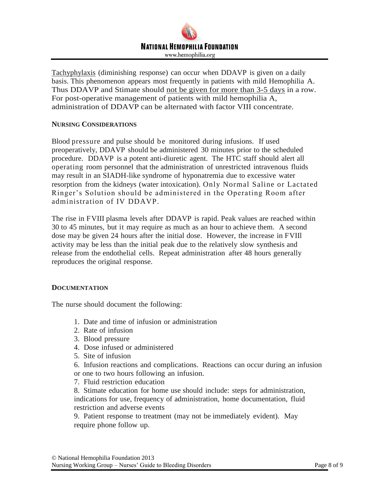

Tachyphylaxis (diminishing response) can occur when DDAVP is given on a daily basis. This phenomenon appears most frequently in patients with mild Hemophilia A. Thus DDAVP and Stimate should not be given for more than 3-5 days in a row. For post-operative management of patients with mild hemophilia A, administration of DDAVP can be alternated with factor VIII concentrate.

#### **NURSING CONSIDERATIONS**

Blood pressure and pulse should be monitored during infusions. If used preoperatively, DDAVP should be administered 30 minutes prior to the scheduled procedure. DDAVP is a potent anti-diuretic agent. The HTC staff should alert all operating room personnel that the administration of unrestricted intravenous fluids may result in an SIADH-like syndrome of hyponatremia due to excessive water resorption from the kidneys (water intoxication). Only Normal Saline or Lactated Ringer's Solution should be administered in the Operating Room after administration of IV DDAVP.

The rise in FVIII plasma levels after DDAVP is rapid. Peak values are reached within 30 to 45 minutes, but it may require as much as an hour to achieve them. A second dose may be given 24 hours after the initial dose. However, the increase in FVIIl activity may be less than the initial peak due to the relatively slow synthesis and release from the endothelial cells. Repeat administration after 48 hours generally reproduces the original response.

#### **DOCUMENTATION**

The nurse should document the following:

- 1. Date and time of infusion or administration
- 2. Rate of infusion
- 3. Blood pressure
- 4. Dose infused or administered
- 5. Site of infusion
- 6. Infusion reactions and complications. Reactions can occur during an infusion or one to two hours following an infusion.
- 7. Fluid restriction education

8. Stimate education for home use should include: steps for administration, indications for use, frequency of administration, home documentation, fluid restriction and adverse events

9. Patient response to treatment (may not be immediately evident). May require phone follow up.